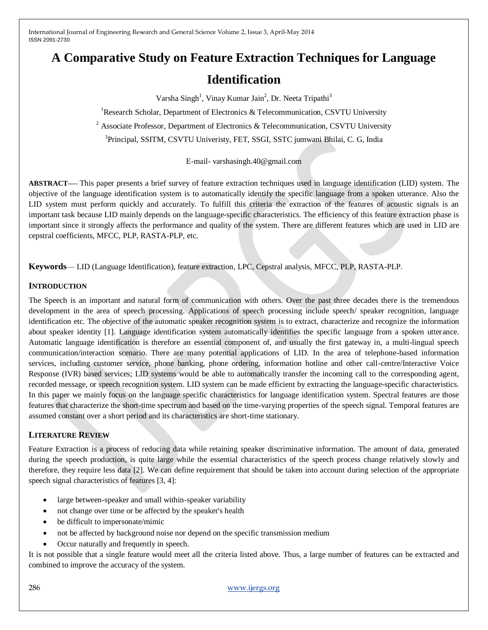# **A Comparative Study on Feature Extraction Techniques for Language**

# **Identification**

Varsha Singh<sup>1</sup>, Vinay Kumar Jain<sup>2</sup>, Dr. Neeta Tripathi<sup>3</sup>

<sup>1</sup>Research Scholar, Department of Electronics & Telecommunication, CSVTU University

<sup>2</sup> Associate Professor, Department of Electronics & Telecommunication, CSVTU University

3 Principal, SSITM, CSVTU Univeristy, FET, SSGI, SSTC jumwani Bhilai, C. G, India

E-mail- varshasingh.40@gmail.com

**ABSTRACT**-**—** This paper presents a brief survey of feature extraction techniques used in language identification (LID) system. The objective of the language identification system is to automatically identify the specific language from a spoken utterance. Also the LID system must perform quickly and accurately. To fulfill this criteria the extraction of the features of acoustic signals is an important task because LID mainly depends on the language-specific characteristics. The efficiency of this feature extraction phase is important since it strongly affects the performance and quality of the system. There are different features which are used in LID are cepstral coefficients, MFCC, PLP, RASTA-PLP, etc.

**Keywords**— LID (Language Identification), feature extraction, LPC, Cepstral analysis, MFCC, PLP, RASTA-PLP.

#### **INTRODUCTION**

The Speech is an important and natural form of communication with others. Over the past three decades there is the tremendous development in the area of speech processing. Applications of speech processing include speech/ speaker recognition, language identification etc. The objective of the automatic speaker recognition system is to extract, characterize and recognize the information about speaker identity [1]. Language identification system automatically identifies the specific language from a spoken utterance. Automatic language identification is therefore an essential component of, and usually the first gateway in, a multi-lingual speech communication/interaction scenario. There are many potential applications of LID. In the area of telephone-based information services, including customer service, phone banking, phone ordering, information hotline and other call-centre/Interactive Voice Response (IVR) based services; LID systems would be able to automatically transfer the incoming call to the corresponding agent, recorded message, or speech recognition system. LID system can be made efficient by extracting the language-specific characteristics. In this paper we mainly focus on the language specific characteristics for language identification system. Spectral features are those features that characterize the short-time spectrum and based on the time-varying properties of the speech signal. Temporal features are assumed constant over a short period and its characteristics are short-time stationary.

## **LITERATURE REVIEW**

Feature Extraction is a process of reducing data while retaining speaker discriminative information. The amount of data, generated during the speech production, is quite large while the essential characteristics of the speech process change relatively slowly and therefore, they require less data [2]. We can define requirement that should be taken into account during selection of the appropriate speech signal characteristics of features [3, 4]:

- large between-speaker and small within-speaker variability
- not change over time or be affected by the speaker's health
- be difficult to impersonate/mimic
- not be affected by background noise nor depend on the specific transmission medium
- Occur naturally and frequently in speech.

It is not possible that a single feature would meet all the criteria listed above. Thus, a large number of features can be extracted and combined to improve the accuracy of the system.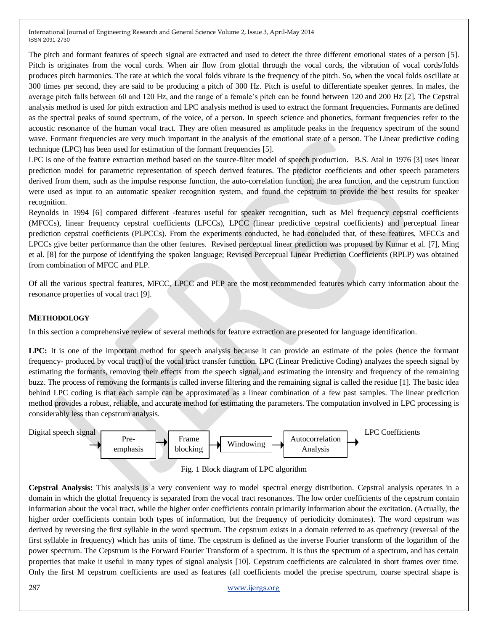The pitch and formant features of speech signal are extracted and used to detect the three different emotional states of a person [5]. Pitch is originates from the vocal cords. When air flow from glottal through the vocal cords, the vibration of vocal cords/folds produces pitch harmonics. The rate at which the vocal folds vibrate is the frequency of the pitch. So, when the vocal folds oscillate at 300 times per second, they are said to be producing a pitch of 300 Hz. Pitch is useful to differentiate speaker genres. In males, the average pitch falls between 60 and 120 Hz, and the range of a female's pitch can be found between 120 and 200 Hz [2]. The Cepstral analysis method is used for pitch extraction and LPC analysis method is used to extract the formant frequencies**.** Formants are defined as the spectral peaks of sound spectrum, of the voice, of a person. In speech science and phonetics, formant frequencies refer to the acoustic resonance of the human vocal tract. They are often measured as amplitude peaks in the frequency spectrum of the sound wave. Formant frequencies are very much important in the analysis of the emotional state of a person. The Linear predictive coding technique (LPC) has been used for estimation of the formant frequencies [5].

LPC is one of the feature extraction method based on the source-filter model of speech production. B.S. Atal in 1976 [3] uses linear prediction model for parametric representation of speech derived features. The predictor coefficients and other speech parameters derived from them, such as the impulse response function, the auto-correlation function, the area function, and the cepstrum function were used as input to an automatic speaker recognition system, and found the cepstrum to provide the best results for speaker recognition.

Reynolds in 1994 [6] compared different -features useful for speaker recognition, such as Mel frequency cepstral coefficients (MFCCs), linear frequency cepstral coefficients (LFCCs), LPCC (linear predictive cepstral coefficients) and perceptual linear prediction cepstral coefficients (PLPCCs). From the experiments conducted, he had concluded that, of these features, MFCCs and LPCCs give better performance than the other features. Revised perceptual linear prediction was proposed by Kumar et al. [7], Ming et al. [8] for the purpose of identifying the spoken language; Revised Perceptual Linear Prediction Coefficients (RPLP) was obtained from combination of MFCC and PLP.

Of all the various spectral features, MFCC, LPCC and PLP are the most recommended features which carry information about the resonance properties of vocal tract [9].

#### **METHODOLOGY**

In this section a comprehensive review of several methods for feature extraction are presented for language identification.

**LPC:** It is one of the important method for speech analysis because it can provide an estimate of the poles (hence the formant frequency- produced by vocal tract) of the vocal tract transfer function. LPC (Linear Predictive Coding) analyzes the speech signal by estimating the formants, removing their effects from the speech signal, and estimating the intensity and frequency of the remaining buzz. The process of removing the formants is called inverse filtering and the remaining signal is called the residue [1]. The basic idea behind LPC coding is that each sample can be approximated as a linear combination of a few past samples. The linear prediction method provides a robust, reliable, and accurate method for estimating the parameters. The computation involved in LPC processing is considerably less than cepstrum analysis.





**Cepstral Analysis:** This analysis is a very convenient way to model spectral energy distribution. Cepstral analysis operates in a domain in which the glottal frequency is separated from the vocal tract resonances. The low order coefficients of the cepstrum contain information about the vocal tract, while the higher order coefficients contain primarily information about the excitation. (Actually, the higher order coefficients contain both types of information, but the frequency of periodicity dominates). The word cepstrum was derived by reversing the first syllable in the word spectrum. The cepstrum exists in a domain referred to as quefrency (reversal of the first syllable in frequency) which has units of time. The cepstrum is defined as the inverse Fourier transform of the logarithm of the power spectrum. The Cepstrum is the Forward Fourier Transform of a spectrum. It is thus the spectrum of a spectrum, and has certain properties that make it useful in many types of signal analysis [10]. Cepstrum coefficients are calculated in short frames over time. Only the first M cepstrum coefficients are used as features (all coefficients model the precise spectrum, coarse spectral shape is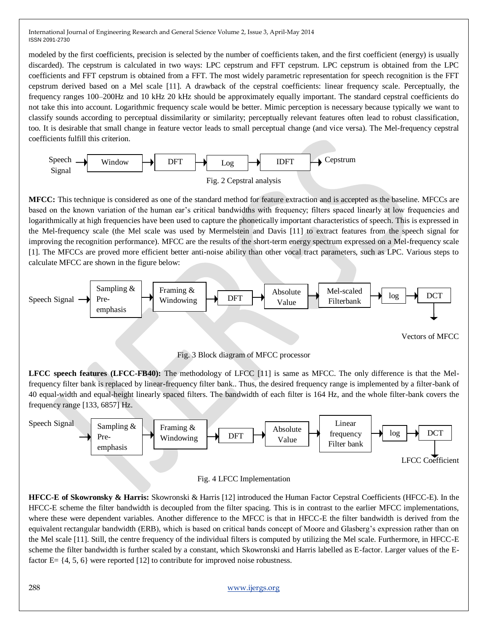modeled by the first coefficients, precision is selected by the number of coefficients taken, and the first coefficient (energy) is usually discarded). The cepstrum is calculated in two ways: LPC cepstrum and FFT cepstrum. LPC cepstrum is obtained from the LPC coefficients and FFT cepstrum is obtained from a FFT. The most widely parametric representation for speech recognition is the FFT cepstrum derived based on a Mel scale [11]. A drawback of the cepstral coefficients: linear frequency scale. Perceptually, the frequency ranges 100–200Hz and 10 kHz 20 kHz should be approximately equally important. The standard cepstral coefficients do not take this into account. Logarithmic frequency scale would be better. Mimic perception is necessary because typically we want to classify sounds according to perceptual dissimilarity or similarity; perceptually relevant features often lead to robust classification, too. It is desirable that small change in feature vector leads to small perceptual change (and vice versa). The Mel-frequency cepstral coefficients fulfill this criterion.



**MFCC:** This technique is considered as one of the standard method for feature extraction and is accepted as the baseline. MFCCs are based on the known variation of the human ear's critical bandwidths with frequency; filters spaced linearly at low frequencies and logarithmically at high frequencies have been used to capture the phonetically important characteristics of speech. This is expressed in the Mel-frequency scale (the Mel scale was used by Mermelstein and Davis [11] to extract features from the speech signal for improving the recognition performance). MFCC are the results of the short-term energy spectrum expressed on a Mel-frequency scale [1]. The MFCCs are proved more efficient better anti-noise ability than other vocal tract parameters, such as LPC. Various steps to calculate MFCC are shown in the figure below:



**LFCC speech features (LFCC-FB40):** The methodology of LFCC [11] is same as MFCC. The only difference is that the Melfrequency filter bank is replaced by linear-frequency filter bank.. Thus, the desired frequency range is implemented by a filter-bank of 40 equal-width and equal-height linearly spaced filters. The bandwidth of each filter is 164 Hz, and the whole filter-bank covers the frequency range [133, 6857] Hz.



#### Fig. 4 LFCC Implementation

**HFCC-E of Skowronsky & Harris:** Skowronski & Harris [12] introduced the Human Factor Cepstral Coefficients (HFCC-E). In the HFCC-E scheme the filter bandwidth is decoupled from the filter spacing. This is in contrast to the earlier MFCC implementations, where these were dependent variables. Another difference to the MFCC is that in HFCC-E the filter bandwidth is derived from the equivalent rectangular bandwidth (ERB), which is based on critical bands concept of Moore and Glasberg's expression rather than on the Mel scale [11]. Still, the centre frequency of the individual filters is computed by utilizing the Mel scale. Furthermore, in HFCC-E scheme the filter bandwidth is further scaled by a constant, which Skowronski and Harris labelled as E-factor. Larger values of the Efactor  $E = \{4, 5, 6\}$  were reported [12] to contribute for improved noise robustness.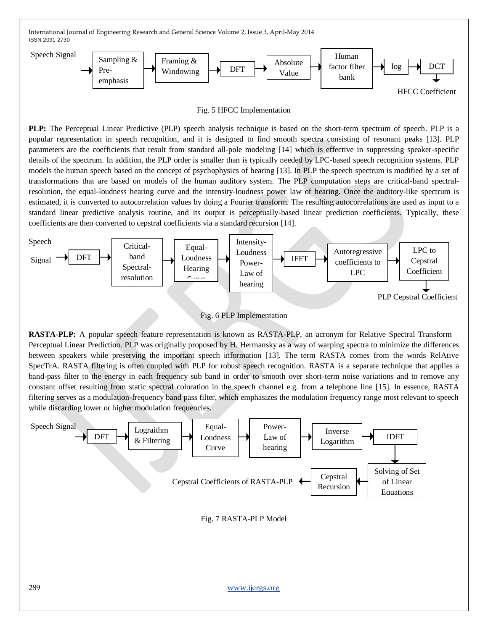

Fig. 5 HFCC Implementation

**PLP:** The Perceptual Linear Predictive (PLP) speech analysis technique is based on the short-term spectrum of speech. PLP is a popular representation in speech recognition, and it is designed to find smooth spectra consisting of resonant peaks [13]. PLP parameters are the coefficients that result from standard all-pole modeling [14] which is effective in suppressing speaker-specific details of the spectrum. In addition, the PLP order is smaller than is typically needed by LPC-based speech recognition systems. PLP models the human speech based on the concept of psychophysics of hearing [13]. In PLP the speech spectrum is modified by a set of transformations that are based on models of the human auditory system. The PLP computation steps are critical-band spectralresolution, the equal-loudness hearing curve and the intensity-loudness power law of hearing. Once the auditory-like spectrum is estimated, it is converted to autocorrelation values by doing a Fourier transform. The resulting autocorrelations are used as input to a standard linear predictive analysis routine, and its output is perceptually-based linear prediction coefficients. Typically, these coefficients are then converted to cepstral coefficients via a standard recursion [14].





**RASTA-PLP:** A popular speech feature representation is known as RASTA-PLP, an acronym for Relative Spectral Transform – Perceptual Linear Prediction. PLP was originally proposed by H. Hermansky as a way of warping spectra to minimize the differences between speakers while preserving the important speech information [13]. The term RASTA comes from the words RelAtive SpecTrA. RASTA filtering is often coupled with PLP for robust speech recognition. RASTA is a separate technique that applies a band-pass filter to the energy in each frequency sub band in order to smooth over short-term noise variations and to remove any constant offset resulting from static spectral coloration in the speech channel e.g. from a telephone line [15]. In essence, RASTA filtering serves as a modulation-frequency band pass filter, which emphasizes the modulation frequency range most relevant to speech while discarding lower or higher modulation frequencies.

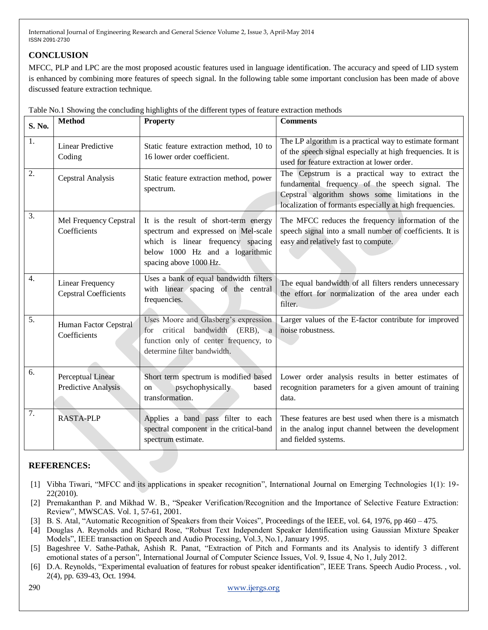# **CONCLUSION**

MFCC, PLP and LPC are the most proposed acoustic features used in language identification. The accuracy and speed of LID system is enhanced by combining more features of speech signal. In the following table some important conclusion has been made of above discussed feature extraction technique.

| S. No. | <b>Method</b>                                    | <b>Property</b>                                                                                                                                                                | <b>Comments</b>                                                                                                                                                                                                   |
|--------|--------------------------------------------------|--------------------------------------------------------------------------------------------------------------------------------------------------------------------------------|-------------------------------------------------------------------------------------------------------------------------------------------------------------------------------------------------------------------|
| 1.     | <b>Linear Predictive</b><br>Coding               | Static feature extraction method, 10 to<br>16 lower order coefficient.                                                                                                         | The LP algorithm is a practical way to estimate formant<br>of the speech signal especially at high frequencies. It is<br>used for feature extraction at lower order.                                              |
| 2.     | Cepstral Analysis                                | Static feature extraction method, power<br>spectrum.                                                                                                                           | The Cepstrum is a practical way to extract the<br>fundamental frequency of the speech signal. The<br>Cepstral algorithm shows some limitations in the<br>localization of formants especially at high frequencies. |
| 3.     | Mel Frequency Cepstral<br>Coefficients           | It is the result of short-term energy<br>spectrum and expressed on Mel-scale<br>which is linear frequency spacing<br>below 1000 Hz and a logarithmic<br>spacing above 1000 Hz. | The MFCC reduces the frequency information of the<br>speech signal into a small number of coefficients. It is<br>easy and relatively fast to compute.                                                             |
| 4.     | Linear Frequency<br><b>Cepstral Coefficients</b> | Uses a bank of equal bandwidth filters<br>with linear spacing of the central<br>frequencies.                                                                                   | The equal bandwidth of all filters renders unnecessary<br>the effort for normalization of the area under each<br>filter.                                                                                          |
| 5.     | Human Factor Cepstral<br>Coefficients            | Uses Moore and Glasberg's expression<br>critical<br>bandwidth<br>$(ERB)$ , a<br>for<br>function only of center frequency, to<br>determine filter bandwidth.                    | Larger values of the E-factor contribute for improved<br>noise robustness.                                                                                                                                        |
| 6.     | Perceptual Linear<br>Predictive Analysis         | Short term spectrum is modified based<br>psychophysically<br>based<br>on<br>transformation.                                                                                    | Lower order analysis results in better estimates of<br>recognition parameters for a given amount of training<br>data.                                                                                             |
| 7.     | <b>RASTA-PLP</b>                                 | Applies a band pass filter to each<br>spectral component in the critical-band<br>spectrum estimate.                                                                            | These features are best used when there is a mismatch<br>in the analog input channel between the development<br>and fielded systems.                                                                              |

Table No.1 Showing the concluding highlights of the different types of feature extraction methods

## **REFERENCES:**

- [1] Vibha Tiwari, "MFCC and its applications in speaker recognition", International Journal on Emerging Technologies 1(1): 19-22(2010).
- [2] Premakanthan P. and Mikhad W. B., "Speaker Verification/Recognition and the Importance of Selective Feature Extraction: Review", MWSCAS. Vol. 1, 57-61, 2001.
- [3] B. S. Atal, "Automatic Recognition of Speakers from their Voices", Proceedings of the IEEE, vol. 64, 1976, pp 460 475.
- [4] Douglas A. Reynolds and Richard Rose, "Robust Text Independent Speaker Identification using Gaussian Mixture Speaker Models", IEEE transaction on Speech and Audio Processing, Vol.3, No.1, January 1995.
- [5] Bageshree V. Sathe-Pathak, Ashish R. Panat, "Extraction of Pitch and Formants and its Analysis to identify 3 different emotional states of a person", International Journal of Computer Science Issues, Vol. 9, Issue 4, No 1, July 2012.
- [6] D.A. Reynolds, "Experimental evaluation of features for robust speaker identification", IEEE Trans. Speech Audio Process. , vol. 2(4), pp. 639-43, Oct. 1994.